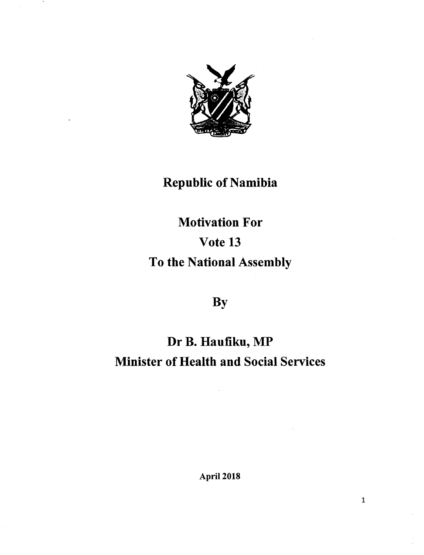

## Republic of Namibia

# Motivation For Vote 13 To the National Assembly

## **By**

## Dr B. Haufiku, MP Minister of Health and Social Services

April 2018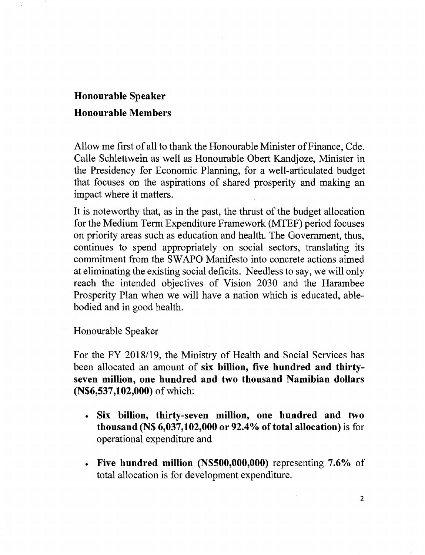## Honourable Speaker Honourable Members

Allow me first of all to thank the Honourable Minister of Finance, Cde. Calle Schlettwein as well as Honourable Obert Kandjoze, Minister in the Presidency for Economic Planning, for a well-articulated budget that focuses on the aspirations of shared prosperity and making an impact where it matters.

It is noteworthy that, as in the past, the thrust of the budget allocation for the Medium Term Expenditure Framework (MTEF) period focuses on priority areas such as education and health. The Government, thus, continues to spend appropriately on social sectors, translating its commitment from the SWAPO Manifesto into concrete actions aimed at eliminating the existing social deficits. Needless to say, we will only reach the intended objectives of Vision 2030 and the Harambee Prosperity Plan when we will have a nation which is educated, ablebodied and in good health.

Honourable Speaker

For the FY *2018/19,* the Ministry of Health and Social Services has been allocated an amount of six billion, five hundred and thirtyseven million, one hundred and two thousand Namibian dollars (N\$6,537,102,000) of which:

- Six billion, thirty-seven million, one hundred and two thousand (N\$  $6,037,102,000$  or 92.4% of total allocation) is for operational expenditure and
- Five hundred million (N\$500,000,000) representing 7.6% of total allocation is for development expenditure.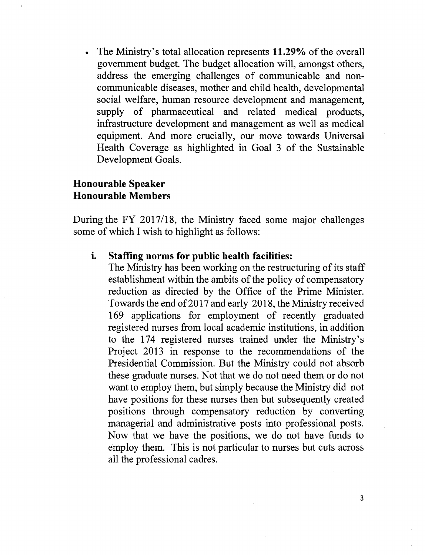The Ministry's total allocation represents 11.29% of the overall government budget. The budget allocation will, amongst others, address the emerging challenges of communicable and noncommunicable diseases, mother and child health, developmental social welfare, human resource development and management, supply of pharmaceutical and related medical products, infrastructure development and management as well as medical equipment. And more crucially, our move towards Universal Health Coverage as highlighted in Goal 3 of the Sustainable Development Goals.

### Honourable Speaker Honourable Members

During the FY *2017/18,* the Ministry faced some major challenges some of which I wish to highlight as follows:

#### i. Staffing norms for public health facilities:

The Ministry has been working on the restructuring of its staff establishment within the ambits of the policy of compensatory reduction as directed by the Office of the Prime Minister. Towards the end of2017 and early 2018, the Ministry received 169 applications for employment of recently graduated registered nurses from local academic institutions, in addition to the 174 registered nurses trained under the Ministry's Project 2013 in response to the recommendations of the Presidential Commission. But the Ministry could not absorb these graduate nurses. Not that we do not need them or do not want to employ them, but simply because the Ministry did not have positions for these nurses then but subsequently created positions through compensatory reduction by converting managerial and administrative posts into professional posts. Now that we have the positions, we do not have funds to employ them. This is not particular to nurses but cuts across all the professional cadres.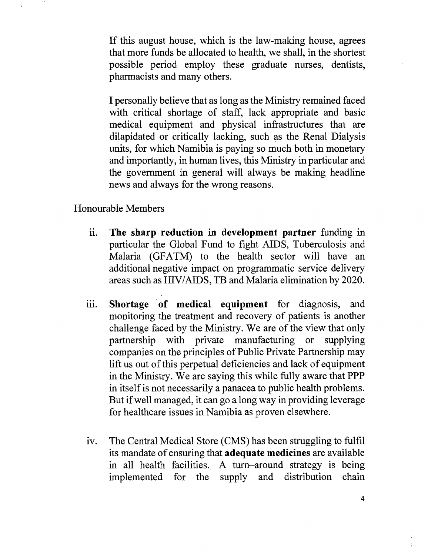If this august house, which is the law-making house, agrees that more funds be allocated to health, we shall, in the shortest possible period employ these graduate nurses, dentists, pharmacists and many others.

I personally believe that as long as the Ministry remained faced with critical shortage of staff, lack appropriate and basic medical equipment and physical infrastructures that are dilapidated or critically lacking, such as the Renal Dialysis units, for which Namibia is paying so much both in monetary and importantly, in human lives, this Ministry in particular and the government in general will always be making headline news and always for the wrong reasons.

Honourable Members

- 11. **The sharp reduction in development partner** funding in particular the Global Fund to fight AIDS, Tuberculosis and Malaria (GFATM) to the health sector will have an additional negative impact on programmatic service delivery areas such as HIV/AIDS, TB and Malaria elimination by 2020.
- iii. Shortage of medical equipment for diagnosis, and monitoring the treatment and recovery of patients is another challenge faced by the Ministry. We are of the view that only partnership with private manufacturing or supplying companies on the principles of Public Private Partnership may lift us out of this perpetual deficiencies and lack of equipment in the Ministry. We are saying this while fully aware that PPP in itself is not necessarily a panacea to public health problems. But if well managed, it can go a long way in providing leverage for healthcare issues in Namibia as proven elsewhere.
- iv. The Central Medical Store (CMS) has been struggling to fulfil its mandate of ensuring that **adequate medicines** are available in all health facilities. A turn-around strategy is being implemented for the supply and distribution chain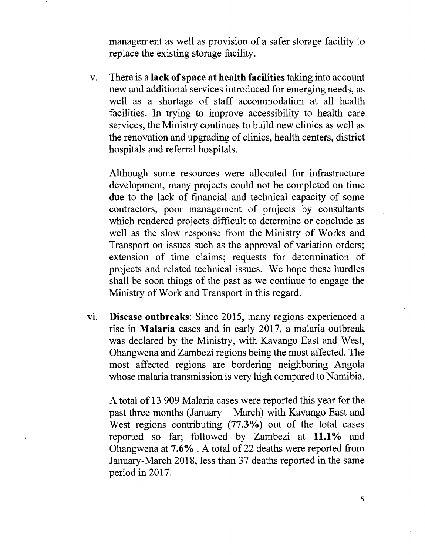management as well as provision of a safer storage facility to replace the existing storage facility.

v. There is a lack of space at health facilities taking into account new and additional services introduced for emerging needs, as well as a shortage of staff accommodation at all health facilities. In trying to improve accessibility to health care services, the Ministry continues to build new clinics as well as the renovation and upgrading of clinics, health centers, district hospitals and referral hospitals.

Although some resources were allocated for infrastructure development, many projects could not be completed on time due to the lack of financial and technical capacity of some contractors, poor management of projects by consultants which rendered projects difficult to determine or conclude as well as the slow response from the Ministry of Works and Transport on issues such as the approval of variation orders; extension of time claims; requests for determination of projects and related technical issues. We hope these hurdles shall be soon things of the past as we continue to engage the Ministry of Work and Transport in this regard.

vi. Disease outbreaks: Since 2015, many regions experienced a rise in Malaria cases and in early 2017, a malaria outbreak was declared by the Ministry, with Kavango East and West, Ohangwena and Zambezi regions being the most affected. The most affected regions are bordering neighboring Angola whose malaria transmission is very high compared to Namibia.

A total of 13 909 Malaria cases were reported this year for the past three months (January – March) with Kavango East and West regions contributing  $(77.3\%)$  out of the total cases reported so far; followed by Zambezi at 11.1% and Ohangwena at 7.6%. A total of 22 deaths were reported from January-March 2018, less than 37 deaths reported in the same period in 2017.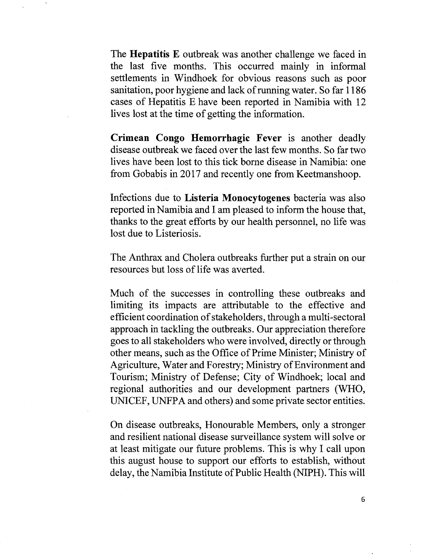The **Hepatitis E** outbreak was another challenge we faced in the last five months. This occurred mainly in informal settlements in Windhoek for obvious reasons such as poor sanitation, poor hygiene and lack of running water. So far 1186 cases of Hepatitis E have been reported in Namibia with 12 lives lost at the time of getting the information.

**Crimean Congo Hemorrhagic Fever** is another deadly disease outbreak we faced over the last few months. So far two lives have been lost to this tick borne disease in Namibia: one from Gobabis in 2017 and recently one from Keetmanshoop.

Infections due to **Listeria Monocytogenes** bacteria was also reported in Namibia and I am pleased to inform the house that, thanks to the great efforts by our health personnel, no life was lost due to Listeriosis.

The Anthrax and Cholera outbreaks further put a strain on our resources but loss of life was averted.

Much of the successes in controlling these outbreaks and limiting its impacts are attributable to the effective and efficient coordination of stakeholders, through a multi-sectoral approach in tackling the outbreaks. Our appreciation therefore goes to all stakeholders who were involved, directly or through other means, such as the Office of Prime Minister; Ministry of Agriculture, Water and Forestry; Ministry of Environment and Tourism; Ministry of Defense; City of Windhoek; local and regional authorities and our development partners (WHO, UNICEF, UNFPA and others) and some private sector entities.

On disease outbreaks, Honourable Members, only a stronger and resilient national disease surveillance system will solve or at least mitigate our future problems. This is why I call upon this august house to support our efforts to establish, without delay, the Namibia Institute of Public Health (NIPH). This will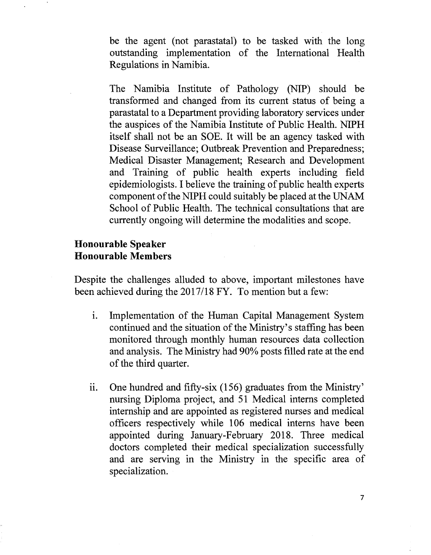be the agent (not parastatal) to be tasked with the long outstanding implementation of the International Health Regulations in Namibia.

The Namibia Institute of Pathology (NIP) should be transformed and changed from its current status of being a parastatal to a Department providing laboratory services under the auspices of the Namibia Institute of Public Health. NIPH itself shall not be an SOE. It will be an agency tasked with Disease Surveillance; Outbreak Prevention and Preparedness; Medical Disaster Management; Research and Development and Training of public health experts including field epidemiologists. I believe the training of public health experts component of the NIPH could suitably be placed at the UNAM School of Public Health. The technical consultations that are currently ongoing will determine the modalities and scope.

### **Honourable Speaker Honourable Members**

Despite the challenges alluded to above, important milestones have been achieved during the *2017/18* FY. To mention but a few:

- i. Implementation of the Human Capital Management System continued and the situation of the Ministry's staffing has been monitored through monthly human resources data collection and analysis. The Ministry had 90% posts filled rate at the end of the third quarter.
- ii. One hundred and fifty-six  $(156)$  graduates from the Ministry' nursing Diploma project, and 51 Medical interns completed internship and are appointed as registered nurses and medical officers respectively while 106 medical interns have been appointed during January-February 2018. Three medical doctors completed their medical specialization successfully and are serving in the Ministry in the specific area of specialization.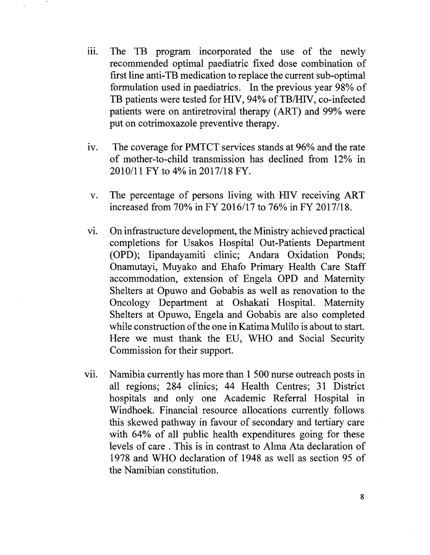- iii. The TB program incorporated the use of the newly recommended optimal paediatric fixed dose combination of first line anti-TB medication to replace the current sub-optimal formulation used in paediatrics. In the previous year 98% of TB patients were tested for HIV, 94% of TB/HIV, co-infected patients were on antiretroviral therapy (ART) and 99% were put on cotrimoxazole preventive therapy.
- iv. The coverage for PMTCT services stands at 96% and the rate of mother-to-child transmission has declined from 12% in 2010111 FY to 4% in *2017/18* FY.
- v. The percentage of persons living with HlV receiving ART increased from 70% in FY 2016/17 to 76% in FY 2017/18.
- vi. On infrastructure development, the Ministry achieved practical completions for Usakos Hospital Out-Patients Department (OPD); Iipandayamiti clinic; Andara Oxidation Ponds; Onamutayi, Muyako and Ehafo Primary Health Care Staff accommodation, extension of Engela OPD and Maternity Shelters at Opuwo and Gobabis as well as renovation to the Oncology Department at Oshakati Hospital. Maternity Shelters at Opuwo, Engela and Gobabis are also completed while construction of the one in Katima Mulilo is about to start. Here we must thank the EU, WHO and Social Security Commission for their support.
- vii. Namibia currently has more than 1 500 nurse outreach posts in all regions; 284 clinics; 44 Health Centres; 31 District hospitals and only one Academic Referral Hospital in Windhoek. Financial resource allocations currently follows this skewed pathway in favour of secondary and tertiary care with 64% of all public health expenditures going for these levels of care . This is in contrast to Alma Ata declaration of 1978 and WHO declaration of 1948 as well as section 95 of the Namibian constitution.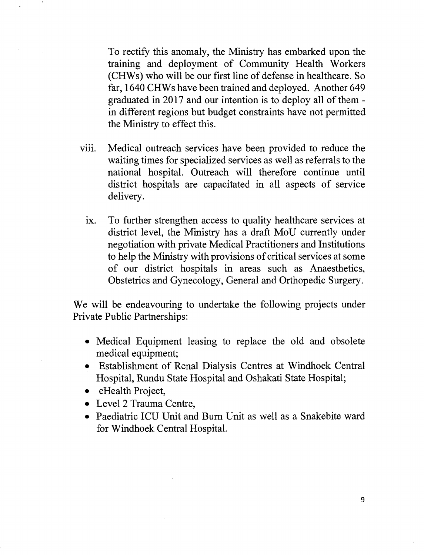To rectify this anomaly, the Ministry has embarked upon the training and deployment of Community Health Workers (CHWs) who will be our first line of defense in healthcare. So far, 1640 CHWs have been trained and deployed. Another 649 graduated in 2017 and our intention is to deploy all of them in different regions but budget constraints have not permitted the Ministry to effect this.

- viii. Medical outreach services have been provided to reduce the waiting times for specialized services as well as referrals to the national hospital. Outreach will therefore continue until district hospitals are capacitated in all aspects of service delivery.
	- ix. To further strengthen access to quality healthcare services at district level, the Ministry has a draft MoU currently under negotiation with private Medical Practitioners and Institutions to help the Ministry with provisions of critical services at some of our district hospitals in areas such as Anaesthetics, Obstetrics and Gynecology, General and Orthopedic Surgery.

We will be endeavouring to undertake the following projects under Private Public Partnerships:

- Medical Equipment leasing to replace the old and obsolete medical equipment;
- Establishment of Renal Dialysis Centres at Windhoek Central Hospital, Rundu State Hospital and Oshakati State Hospital;
- eHealth Project,
- Level 2 Trauma Centre,
- Paediatric ICU Unit and Burn Unit as well as a Snakebite ward for Windhoek Central Hospital.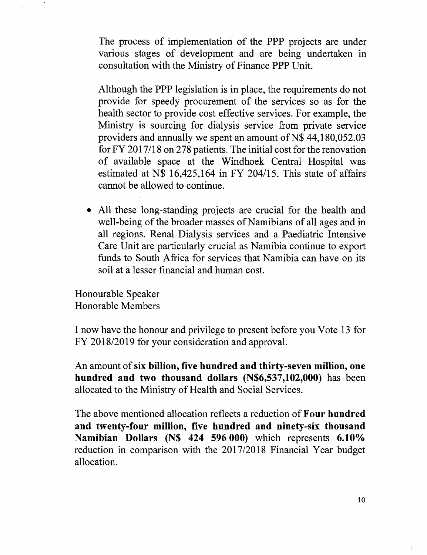The process of implementation of the PPP projects are under various stages of development and are being undertaken in consultation with the Ministry of Finance PPP Unit.

Although the PPP legislation is in place, the requirements do not provide for speedy procurement of the services so as for the health sector to provide cost effective services. For example, the Ministry is sourcing for dialysis service from private service providers and annually we spent an amount of  $N$$  44,180,052.03 for FY 201 7/18 on 278 patients. The initial cost for the renovation of available space at the Windhoek Central Hospital was estimated at N\$ 16,425,164 in FY *204/15.* This state of affairs cannot be allowed to continue.

• All these long-standing projects are crucial for the health and well-being of the broader masses of Namibians of all ages and in all regions. Renal Dialysis services and a Paediatric Intensive Care Unit are particularly crucial as Namibia continue to export funds to South Africa for services that Namibia can have on its soil at a lesser financial and human cost.

Honourable Speaker Honorable Members

I now have the honour and privilege to present before you Vote 13 for FY *2018/2019* for your consideration and approval.

An amount of six billion, five hundred and thirty-seven million, one hundred and two thousand dollars (N\$6,537,102,000) has been allocated to the Ministry of Health and Social Services.

The above mentioned allocation reflects a reduction of Four hundred and twenty-four million, five hundred and ninety-six thousand Namibian Dollars (N\$ 424 596 000) which represents 6.10%) reduction in comparison with the *2017/2018* Financial Year budget allocation.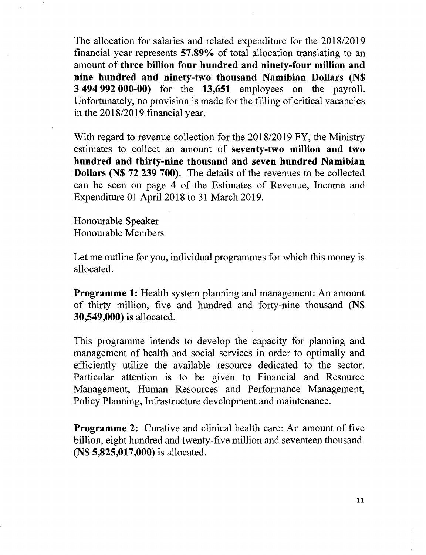The allocation for salaries and related expenditure for the *2018/2019* fmancial year represents 57.89% of total allocation translating to an amount of three billion four hundred and ninety-four million and nine hundred and ninety-two thousand Namibian Dollars (N\$ 3 494 992 000-00) for the 13,651 employees on the payroll. Unfortunately, no provision is made for the filling of critical vacancies in the *2018/2019* financial year.

With regard to revenue collection for the *2018/2019* FY, the Ministry estimates to collect an amount of seventy-two million and two hundred and thirty-nine thousand and seven hundred Namibian Dollars (N\$ 72 239 700). The details of the revenues to be collected can be seen on page 4 of the Estimates of Revenue, Income and Expenditure 01 April 2018 to 31 March 2019.

Honourable Speaker Honourable Members

Let me outline for you, individual programmes for which this money is allocated.

Programme 1: Health system planning and management: An amount of thirty million, five and hundred and forty-nine thousand (N\$ 30,549,000) is allocated.

This programme intends to develop the capacity for planning and management of health and social services in order to optimally and efficiently utilize the available resource dedicated to the sector. Particular attention is to be given to Financial and Resource Management, Human Resources and Performance Management, Policy Planning, Infrastructure development and maintenance.

**Programme 2:** Curative and clinical health care: An amount of five billion, eight hundred and twenty-five million and seventeen thousand (N\$ 5,825,017,000) is allocated.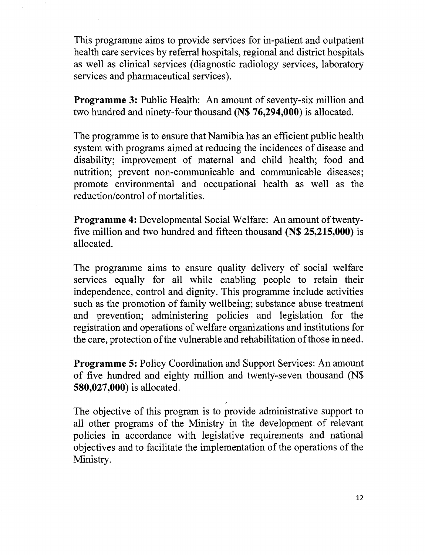This programme aims to provide services for in-patient and outpatient health care services by referral hospitals, regional and district hospitals as well as clinical services (diagnostic radiology services, laboratory services and pharmaceutical services).

Programme 3: Public Health: An amount of seventy-six million and two hundred and ninety-four thousand (N\$ 76,294,000) is allocated.

The programme is to ensure that Namibia has an efficient public health system with programs aimed at reducing the incidences of disease and disability; improvement of maternal and child health; food and nutrition; prevent non-communicable and communicable diseases; promote environmental and occupational health as well as the reduction/control of mortalities.

Programme 4: Developmental Social Welfare: An amount of twentyfive million and two hundred and fifteen thousand (N\$ 25,215,000) is allocated.

The programme aims to ensure quality delivery of social welfare services equally for all while enabling people to retain their independence, control and dignity. This programme include activities such as the promotion of family wellbeing; substance abuse treatment and prevention; administering policies and legislation for the registration and operations of welfare organizations and institutions for the care, protection of the vulnerable and rehabilitation of those in need.

Programme 5: Policy Coordination and Support Services: An amount of five hundred and eighty million and twenty-seven thousand (N\$ 580,027,000) is allocated.

The objective of this program is to provide administrative support to all other programs of the Ministry in the development of relevant policies in accordance with legislative requirements and national objectives and to facilitate the implementation of the operations of the Ministry.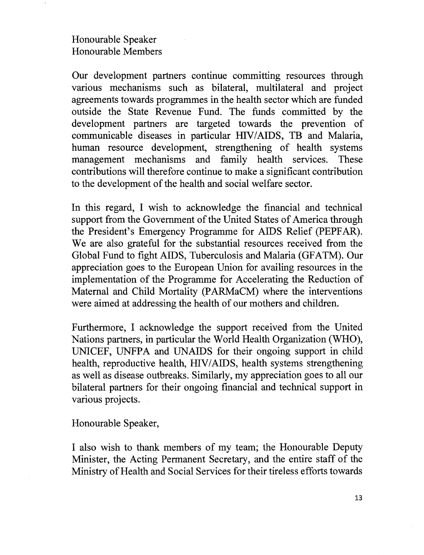### Honourable Speaker Honourable Members

Our development partners continue committing resources through various mechanisms such as bilateral, multilateral and project agreements towards programmes in the health sector which are funded outside the State Revenue Fund. The funds committed by the development partners are targeted towards the prevention of communicable diseases in particular HIV/AIDS, TB and Malaria, human resource development, strengthening of health systems management mechanisms and family health services. These contributions will therefore continue to make a significant contribution to the development of the health and social welfare sector.

In this regard, I wish to acknowledge the financial and technical support from the Government of the United States of America through the President's Emergency Programme for AIDS Relief (PEPFAR). We are also grateful for the substantial resources received from the Global Fund to fight AIDS, Tuberculosis and Malaria (GFATM). Our appreciation goes to the European Union for availing resources in the implementation of the Programme for Accelerating the Reduction of Maternal and Child Mortality (PARMaCM) where the interventions were aimed at addressing the health of our mothers and children.

Furthermore, I acknowledge the support received from the United Nations partners, in particular the World Health Organization (WHO), UNICEF, UNFPA and UNAIDS for their ongoing support in child health, reproductive health, HIV/AIDS, health systems strengthening as well as disease outbreaks. Similarly, my appreciation goes to all our bilateral partners for their ongoing financial and technical support in various projects.

Honourable Speaker,

I also wish to thank members of my team; the Honourable Deputy Minister, the Acting Permanent Secretary, and the entire staff of the Ministry of Health and Social Services for their tireless efforts towards